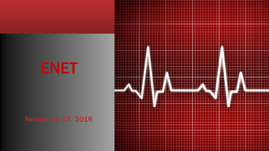## ENET

### November 15, 2016

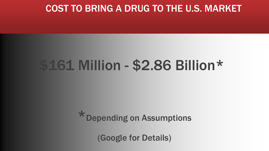### COST TO BRING A DRUG TO THE U.S. MARKET

## \$161 Million - \$2.86 Billion\*

### \*Depending on Assumptions

(Google for Details)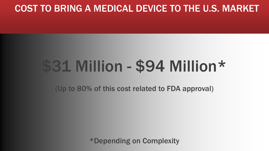### COST TO BRING A MEDICAL DEVICE TO THE U.S. MARKET

# \$31 Million - \$94 Million\*

(Up to 80% of this cost related to FDA approval)

\*Depending on Complexity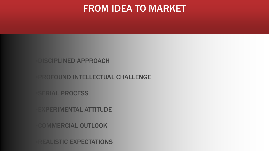### FROM IDEA TO MARKET

#### **DISCIPLINED APPROACH**

#### **PROFOUND INTELLECTUAL CHALLENGE**

**SERIAL PROCESS** 

**EXPERIMENTAL ATTITUDE** 

**COMMERCIAL OUTLOOK** 

**REALISTIC EXPECTATIONS**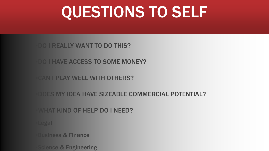## QUESTIONS TO SELF

#### **DO I REALLY WANT TO DO THIS?**

**DO I HAVE ACCESS TO SOME MONEY?** 

#### **CAN I PLAY WELL WITH OTHERS?**

#### **DOES MY IDEA HAVE SIZEABLE COMMERCIAL POTENTIAL?**

#### WHAT KIND OF HELP DO I NEED?

Legal

**Business & Finance** 

cience & Engineering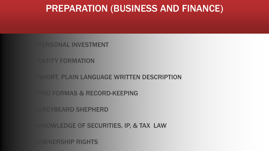### PREPARATION (BUSINESS AND FINANCE)

**PERSONAL INVESTMENT** 

**ENTITY FORMATION** 

**SHORT, PLAIN LANGUAGE WRITTEN DESCRIPTION** 

**PRO FORMAS & RECORD-KEEPING** 

**GREYBEARD SHEPHERD** 

**KNOWLEDGE OF SECURITIES, IP, & TAX LAW** 

**OWNERSHIP RIGHTS**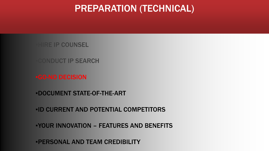### PREPARATION (TECHNICAL)

**HIRE IP COUNSEL** 

CONDUCT IP SEARCH

▪GO-NO DECISION

▪DOCUMENT STATE-OF-THE-ART

▪ID CURRENT AND POTENTIAL COMPETITORS

▪YOUR INNOVATION – FEATURES AND BENEFITS

▪PERSONAL AND TEAM CREDIBILITY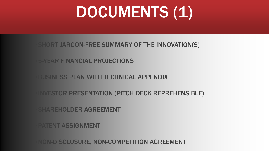# DOCUMENTS (1)

**SHORT JARGON-FREE SUMMARY OF THE INNOVATION(S)** 

**5-YEAR FINANCIAL PROJECTIONS** 

**BUSINESS PLAN WITH TECHNICAL APPENDIX** 

**INVESTOR PRESENTATION (PITCH DECK REPREHENSIBLE)** 

SHAREHOLDER AGREEMENT

**PATENT ASSIGNMENT** 

NON-DISCLOSURE, NON-COMPETITION AGREEMENT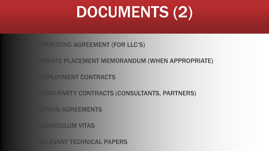# DOCUMENTS (2)

#### OPERATING AGREEMENT (FOR LLC'S)

#### **PRIVATE PLACEMENT MEMORANDUM (WHEN APPROPRIATE)**

**EMPLOYMENT CONTRACTS** 

**THIRD-PARTY CONTRACTS (CONSULTANTS, PARTNERS)** 

**OPTION AGREEMENTS** 

**CURRICULUM VITAS** 

**RELEVANT TECHNICAL PAPERS**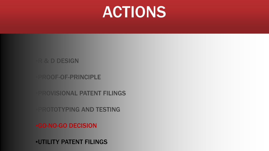## ACTIONS

#### **R & D DESIGN**

PROOF-OF-PRINCIPLE

**PROVISIONAL PATENT FILINGS** 

**PROTOTYPING AND TESTING** 

▪GO-NO-GO DECISION

▪UTILITY PATENT FILINGS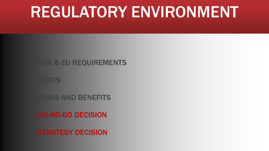## REGULATORY ENVIRONMENT

### ▪FDA & EU REQUIREMENTS

**COSTS** 

**RISKS AND BENEFITS** 

▪GO-NO-GO DECISION

*ESTRATEGY DECISION*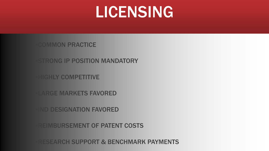## LICENSING

**COMMON PRACTICE** 

**STRONG IP POSITION MANDATORY** 

**HIGHLY COMPETITIVE** 

**LARGE MARKETS FAVORED** 

**IND DESIGNATION FAVORED** 

**REIMBURSEMENT OF PATENT COSTS** 

**RESEARCH SUPPORT & BENCHMARK PAYMENTS**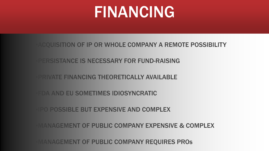## FINANCING

▪ACQUISITION OF IP OR WHOLE COMPANY A REMOTE POSSIBILITY

PERSISTANCE IS NECESSARY FOR FUND-RAISING

**PRIVATE FINANCING THEORETICALLY AVAILABLE** 

**FDA AND EU SOMETIMES IDIOSYNCRATIC** 

**IPO POSSIBLE BUT EXPENSIVE AND COMPLEX** 

**MANAGEMENT OF PUBLIC COMPANY EXPENSIVE & COMPLEX** 

**MANAGEMENT OF PUBLIC COMPANY REQUIRES PROS**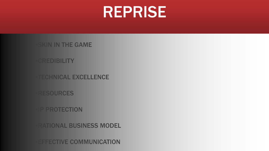## REPRISE

**SKIN IN THE GAME** 

**CREDIBILITY** 

**TECHNICAL EXCELLENCE** 

**RESOURCES** 

**IP PROTECTION** 

**RATIONAL BUSINESS MODEL** 

**EFFECTIVE COMMUNICATION**